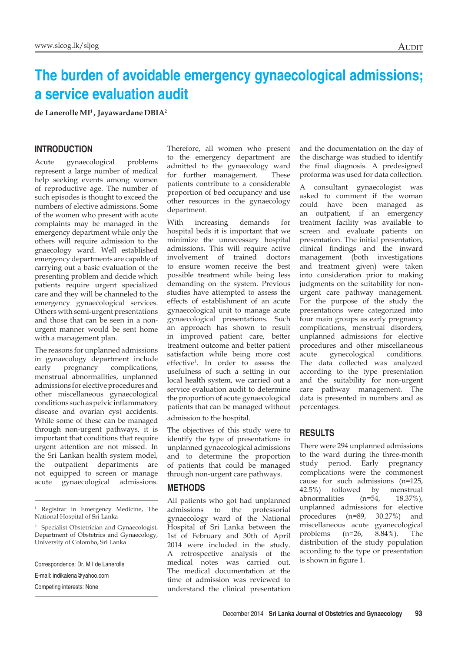# **The burden of avoidable emergency gynaecological admissions; a service evaluation audit**

**de LanerolleMI1 , Jayawardane DBIA2** 

## **Introduction**

Acute gynaecological problems represent a large number of medical help seeking events among women of reproductive age. The number of such episodes is thought to exceed the numbers of elective admissions. Some of the women who present with acute complaints may be managed in the emergency department while only the others will require admission to the gnaecology ward. Well established emergency departments are capable of carrying out a basic evaluation of the presenting problem and decide which patients require urgent specialized care and they will be channeled to the emergency gynaecological services. Others with semi-urgent presentations and those that can be seen in a nonurgent manner would be sent home with a management plan.

The reasons for unplanned admissions in gynaecology department include early pregnancy complications, menstrual abnormalities, unplanned admissions for elective procedures and other miscellaneous gynaecological conditions such as pelvic inflammatory disease and ovarian cyst accidents. While some of these can be managed through non-urgent pathways, it is important that conditions that require urgent attention are not missed. In the Sri Lankan health system model, the outpatient departments are not equipped to screen or manage acute gynaecological admissions.

Correspondence: Dr. M I de Lanerolle

E-mail: indikalena@yahoo.com

Competing interests: None

Therefore, all women who present to the emergency department are admitted to the gynaecology ward for further management. These patients contribute to a considerable proportion of bed occupancy and use other resources in the gynaecology department.

With increasing demands for hospital beds it is important that we minimize the unnecessary hospital admissions. This will require active involvement of trained doctors to ensure women receive the best possible treatment while being less demanding on the system. Previous studies have attempted to assess the effects of establishment of an acute gynaecological unit to manage acute gynaecological presentations. Such an approach has shown to result in improved patient care, better treatment outcome and better patient satisfaction while being more cost effective1 . In order to assess the usefulness of such a setting in our local health system, we carried out a service evaluation audit to determine the proportion of acute gynaecological patients that can be managed without admission to the hospital.

The objectives of this study were to identify the type of presentations in unplanned gynaecological admissions and to determine the proportion of patients that could be managed through non-urgent care pathways.

#### **Methods**

All patients who got had unplanned admissions to the professorial gynaecology ward of the National Hospital of Sri Lanka between the 1st of February and 30th of April 2014 were included in the study. A retrospective analysis of the medical notes was carried out. The medical documentation at the time of admission was reviewed to understand the clinical presentation and the documentation on the day of the discharge was studied to identify the final diagnosis. A predesigned proforma was used for data collection.

A consultant gynaecologist was asked to comment if the woman could have been managed as an outpatient, if an emergency treatment facility was available to screen and evaluate patients on presentation. The initial presentation, clinical findings and the inward management (both investigations and treatment given) were taken into consideration prior to making judgments on the suitability for nonurgent care pathway management. For the purpose of the study the presentations were categorized into four main groups as early pregnancy complications, menstrual disorders, unplanned admissions for elective procedures and other miscellaneous acute gynecological conditions. The data collected was analyzed according to the type presentation and the suitability for non-urgent care pathway management. The data is presented in numbers and as percentages.

## **Results**

There were 294 unplanned admissions to the ward during the three-month study period. Early pregnancy complications were the commonest cause for such admissions (n=125, 42.5%) followed by menstrual abnormalities (n=54, 18.37%), unplanned admissions for elective procedures (n=89, 30.27%) and miscellaneous acute gyanecological problems (n=26, 8.84%). The distribution of the study population according to the type or presentation is shown in figure 1.

<sup>1</sup> Registrar in Emergency Medicine, The National Hospital of Sri Lanka

<sup>2</sup> Specialist Obstetrician and Gynaecologist, Department of Obstetrics and Gynaecology, University of Colombo, Sri Lanka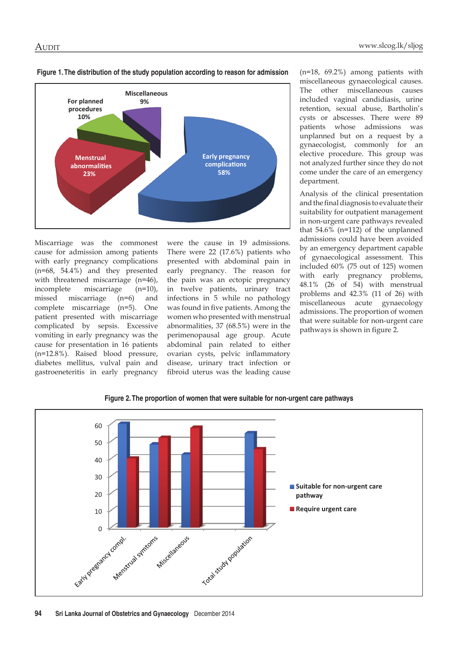

**Figure 1. The distribution of the study population according to reason for admission**

Miscarriage was the commonest cause for admission among patients with early pregnancy complications (n=68, 54.4%) and they presented with threatened miscarriage (n=46), incomplete miscarriage (n=10), missed miscarriage (n=6) and complete miscarriage (n=5). One patient presented with miscarriage complicated by sepsis. Excessive vomiting in early pregnancy was the cause for presentation in 16 patients (n=12.8%). Raised blood pressure, diabetes mellitus, vulval pain and gastroeneteritis in early pregnancy were the cause in 19 admissions. There were 22 (17.6%) patients who presented with abdominal pain in early pregnancy. The reason for the pain was an ectopic pregnancy in twelve patients, urinary tract infections in 5 while no pathology was found in five patients. Among the women who presented with menstrual abnormalities, 37 (68.5%) were in the perimenopausal age group. Acute abdominal pain related to either ovarian cysts, pelvic inflammatory disease, urinary tract infection or fibroid uterus was the leading cause (n=18, 69.2%) among patients with miscellaneous gynaecological causes. The other miscellaneous causes included vaginal candidiasis, urine retention, sexual abuse, Bartholin's cysts or abscesses. There were 89 patients whose admissions was unplanned but on a request by a gynaecologist, commonly for an elective procedure. This group was not analyzed further since they do not come under the care of an emergency department.

Analysis of the clinical presentation and the final diagnosis to evaluate their suitability for outpatient management in non-urgent care pathways revealed that 54.6% (n=112) of the unplanned admissions could have been avoided by an emergency department capable of gynaecological assessment. This included 60% (75 out of 125) women with early pregnancy problems, 48.1% (26 of 54) with menstrual problems and 42.3% (11 of 26) with miscellaneous acute gynaecology admissions. The proportion of women that were suitable for non-urgent care pathways is shown in figure 2.